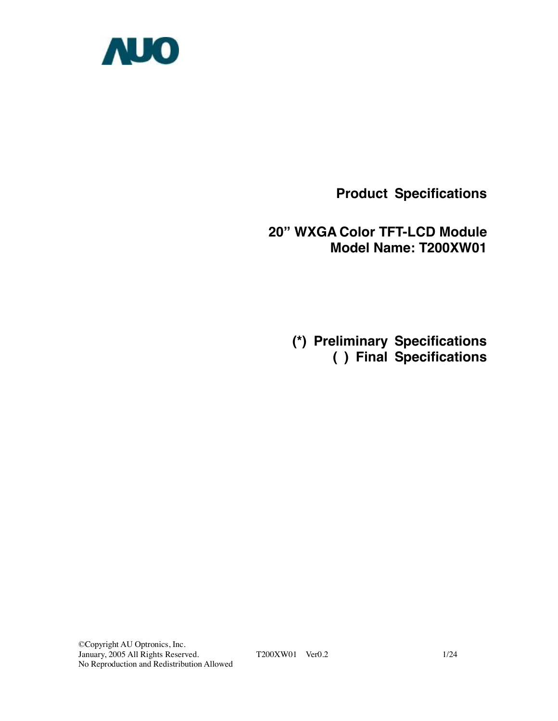

**Product Specifications** 

**20" WXGA Color TFT-LCD Module Model Name: T200XW01** 

> **(\*) Preliminary Specifications ( ) Final Specifications**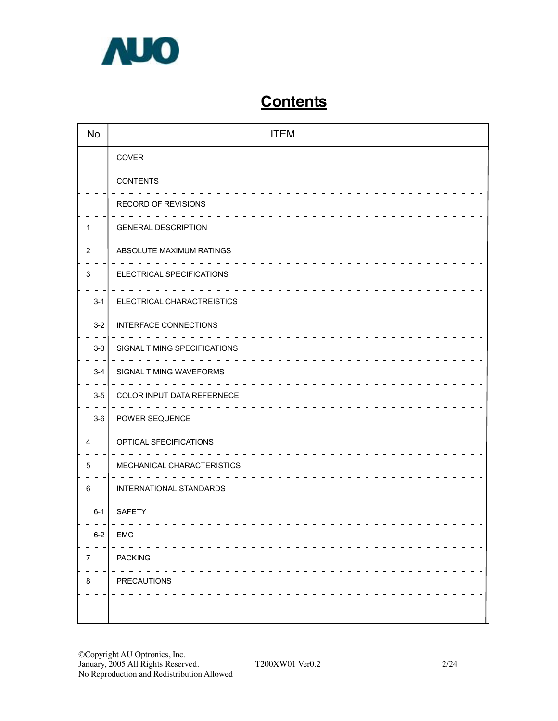

# **Contents**

| <b>No</b> | <b>ITEM</b>                  |
|-----------|------------------------------|
|           | COVER                        |
|           | <b>CONTENTS</b>              |
|           | RECORD OF REVISIONS          |
| 1         | <b>GENERAL DESCRIPTION</b>   |
| 2         | ABSOLUTE MAXIMUM RATINGS     |
| 3         | ELECTRICAL SPECIFICATIONS    |
| $3 - 1$   | ELECTRICAL CHARACTREISTICS   |
| $3-2$     | <b>INTERFACE CONNECTIONS</b> |
| $3 - 3$   | SIGNAL TIMING SPECIFICATIONS |
| $3-4$     | SIGNAL TIMING WAVEFORMS      |
| $3-5$     | COLOR INPUT DATA REFERNECE   |
| $3-6$     | POWER SEQUENCE               |
| 4         | OPTICAL SFECIFICATIONS       |
| 5         | MECHANICAL CHARACTERISTICS   |
| 6         | INTERNATIONAL STANDARDS      |
| $6-1$     | <b>SAFETY</b>                |
| $6-2$     | <b>EMC</b>                   |
| 7         | <b>PACKING</b>               |
| 8         | PRECAUTIONS                  |
|           |                              |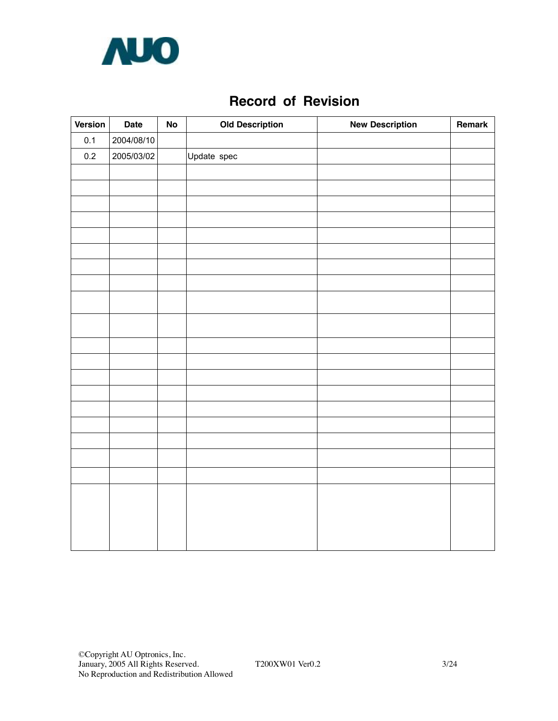

## **Record of Revision**

| Version | <b>Date</b> | ${\sf No}$ | <b>Old Description</b> | <b>New Description</b> | Remark |
|---------|-------------|------------|------------------------|------------------------|--------|
| 0.1     | 2004/08/10  |            |                        |                        |        |
| $0.2\,$ | 2005/03/02  |            | Update spec            |                        |        |
|         |             |            |                        |                        |        |
|         |             |            |                        |                        |        |
|         |             |            |                        |                        |        |
|         |             |            |                        |                        |        |
|         |             |            |                        |                        |        |
|         |             |            |                        |                        |        |
|         |             |            |                        |                        |        |
|         |             |            |                        |                        |        |
|         |             |            |                        |                        |        |
|         |             |            |                        |                        |        |
|         |             |            |                        |                        |        |
|         |             |            |                        |                        |        |
|         |             |            |                        |                        |        |
|         |             |            |                        |                        |        |
|         |             |            |                        |                        |        |
|         |             |            |                        |                        |        |
|         |             |            |                        |                        |        |
|         |             |            |                        |                        |        |
|         |             |            |                        |                        |        |
|         |             |            |                        |                        |        |
|         |             |            |                        |                        |        |
|         |             |            |                        |                        |        |
|         |             |            |                        |                        |        |
|         |             |            |                        |                        |        |
|         |             |            |                        |                        |        |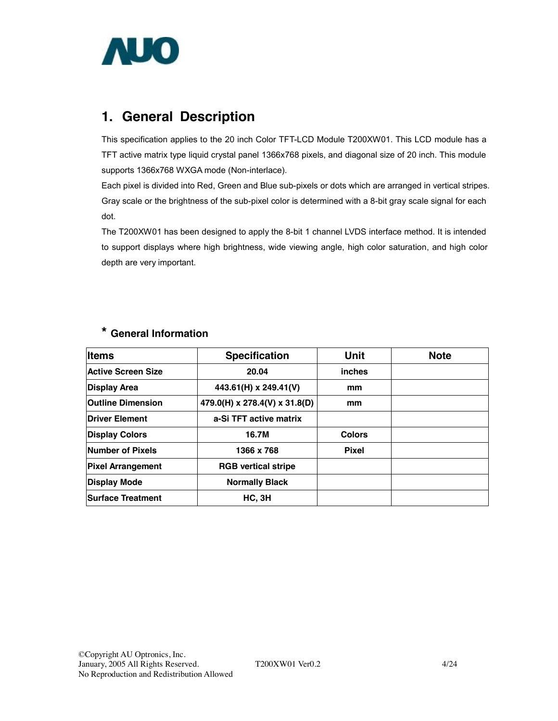

## **1. General Description**

This specification applies to the 20 inch Color TFT-LCD Module T200XW01. This LCD module has a TFT active matrix type liquid crystal panel 1366x768 pixels, and diagonal size of 20 inch. This module supports 1366x768 WXGA mode (Non-interlace).

Each pixel is divided into Red, Green and Blue sub-pixels or dots which are arranged in vertical stripes. Gray scale or the brightness of the sub-pixel color is determined with a 8-bit gray scale signal for each dot.

The T200XW01 has been designed to apply the 8-bit 1 channel LVDS interface method. It is intended to support displays where high brightness, wide viewing angle, high color saturation, and high color depth are very important.

| <b>Items</b>             | <b>Specification</b>          | <b>Unit</b>   | <b>Note</b> |
|--------------------------|-------------------------------|---------------|-------------|
| Active Screen Size       | 20.04                         | inches        |             |
| Display Area             | 443.61(H) x 249.41(V)         | mm            |             |
| <b>Outline Dimension</b> | 479.0(H) x 278.4(V) x 31.8(D) | mm            |             |
| Driver Element           | a-Si TFT active matrix        |               |             |
| <b>Display Colors</b>    | 16.7M                         | <b>Colors</b> |             |
| Number of Pixels         | 1366 x 768                    | <b>Pixel</b>  |             |
| <b>Pixel Arrangement</b> | <b>RGB</b> vertical stripe    |               |             |
| Display Mode             | <b>Normally Black</b>         |               |             |
| <b>Surface Treatment</b> | HC, 3H                        |               |             |

## **\* General Information**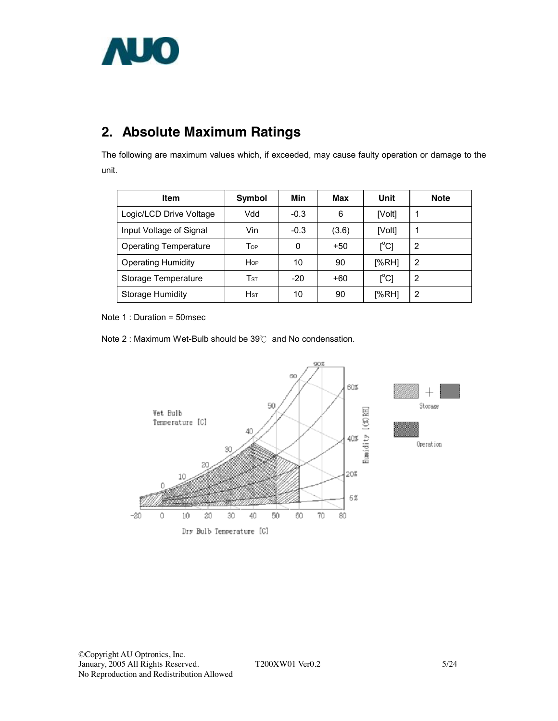

# **2. Absolute Maximum Ratings**

The following are maximum values which, if exceeded, may cause faulty operation or damage to the unit.

| <b>Item</b>                  | Symbol                   | Min    | Max   | Unit                                    | <b>Note</b> |
|------------------------------|--------------------------|--------|-------|-----------------------------------------|-------------|
| Logic/LCD Drive Voltage      | Vdd                      | $-0.3$ | 6     | [Volt]                                  |             |
| Input Voltage of Signal      | Vin                      | $-0.3$ | (3.6) | [Volt]                                  |             |
| <b>Operating Temperature</b> | Top                      | 0      | $+50$ | $\mathsf{I}^\circ\mathsf{C}$            | 2           |
| <b>Operating Humidity</b>    | Hop                      | 10     | 90    | I%RHI                                   | 2           |
| Storage Temperature          | $\mathsf{T}_{\text{ST}}$ | $-20$  | $+60$ | $\mathsf{I}^\circ\mathsf{C} \mathsf{I}$ | 2           |
| Storage Humidity             | H <sub>ST</sub>          | 10     | 90    | [%RH]                                   | 2           |

Note 1 : Duration = 50msec



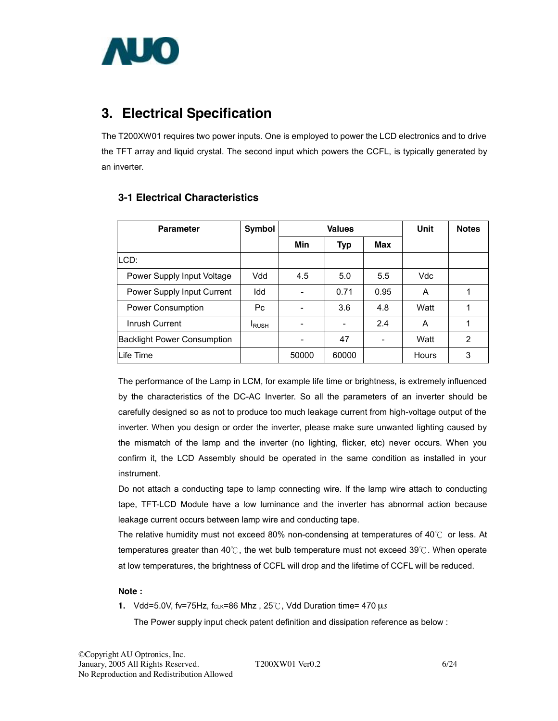

## **3. Electrical Specification**

The T200XW01 requires two power inputs. One is employed to power the LCD electronics and to drive the TFT array and liquid crystal. The second input which powers the CCFL, is typically generated by an inverter.

| <b>Parameter</b>                   | Symbol        |       | <b>Values</b> | Unit | <b>Notes</b> |               |
|------------------------------------|---------------|-------|---------------|------|--------------|---------------|
|                                    |               | Min   | <b>Typ</b>    | Max  |              |               |
| LCD:                               |               |       |               |      |              |               |
| Power Supply Input Voltage         | Vdd           | 4.5   | 5.0           | 5.5  | Vdc          |               |
| Power Supply Input Current         | Idd           |       | 0.71          | 0.95 | A            |               |
| <b>Power Consumption</b>           | Рc            |       | 3.6           | 4.8  | Watt         |               |
| Inrush Current                     | <b>I</b> RUSH |       |               | 2.4  | A            | 1             |
| <b>Backlight Power Consumption</b> |               |       | 47            |      | Watt         | $\mathcal{P}$ |
| Life Time                          |               | 50000 | 60000         |      | <b>Hours</b> | 3             |

### **3-1 Electrical Characteristics**

The performance of the Lamp in LCM, for example life time or brightness, is extremely influenced by the characteristics of the DC-AC Inverter. So all the parameters of an inverter should be carefully designed so as not to produce too much leakage current from high-voltage output of the inverter. When you design or order the inverter, please make sure unwanted lighting caused by the mismatch of the lamp and the inverter (no lighting, flicker, etc) never occurs. When you confirm it, the LCD Assembly should be operated in the same condition as installed in your instrument.

Do not attach a conducting tape to lamp connecting wire. If the lamp wire attach to conducting tape, TFT-LCD Module have a low luminance and the inverter has abnormal action because leakage current occurs between lamp wire and conducting tape.

The relative humidity must not exceed 80% non-condensing at temperatures of 40 $\degree$  or less. At temperatures greater than 40℃, the wet bulb temperature must not exceed 39℃. When operate at low temperatures, the brightness of CCFL will drop and the lifetime of CCFL will be reduced.

#### **Note :**

**1.** Vdd=5.0V, fv=75Hz, fcLK=86 Mhz,  $25^{\circ}$ C, Vdd Duration time= 470  $\mu s$ 

The Power supply input check patent definition and dissipation reference as below :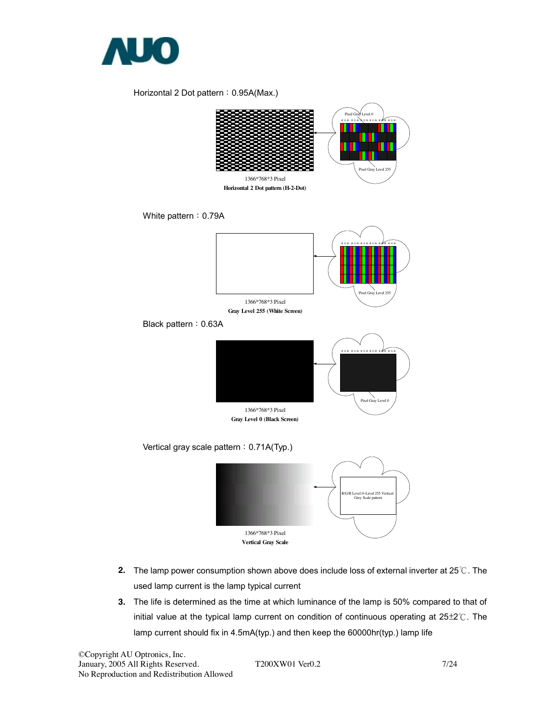

#### Horizontal 2 Dot pattern: 0.95A(Max.)



- **2.** The lamp power consumption shown above does include loss of external inverter at 25℃. The used lamp current is the lamp typical current
- **3.** The life is determined as the time at which luminance of the lamp is 50% compared to that of initial value at the typical lamp current on condition of continuous operating at 25±2℃. The lamp current should fix in 4.5mA(typ.) and then keep the 60000hr(typ.) lamp life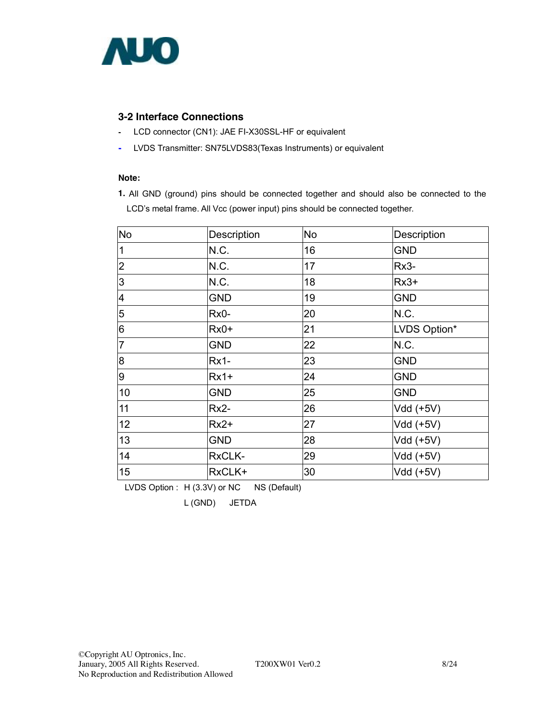

### **3-2 Interface Connections**

- LCD connector (CN1): JAE FI-X30SSL-HF or equivalent
- LVDS Transmitter: SN75LVDS83(Texas Instruments) or equivalent

#### **Note:**

**1.** All GND (ground) pins should be connected together and should also be connected to the LCD's metal frame. All Vcc (power input) pins should be connected together.

| <b>No</b>                | Description | No | Description  |  |  |
|--------------------------|-------------|----|--------------|--|--|
| $\mathbf 1$              | N.C.        | 16 | <b>GND</b>   |  |  |
| $\overline{2}$           | N.C.        | 17 | Rx3-         |  |  |
| 3                        | N.C.        | 18 | $Rx3+$       |  |  |
| $\overline{\mathcal{A}}$ | <b>GND</b>  | 19 | <b>GND</b>   |  |  |
| 5                        | Rx0-        | 20 | N.C.         |  |  |
| $6\phantom{.}6$          | $Rx0+$      | 21 | LVDS Option* |  |  |
| $\overline{7}$           | <b>GND</b>  | 22 | N.C.         |  |  |
| $\overline{8}$           | <b>Rx1-</b> | 23 | <b>GND</b>   |  |  |
| 9                        | $Rx1+$      | 24 | <b>GND</b>   |  |  |
| 10                       | <b>GND</b>  | 25 | <b>GND</b>   |  |  |
| 11                       | $Rx2-$      | 26 | Vdd (+5V)    |  |  |
| 12                       | $Rx2+$      | 27 | Vdd (+5V)    |  |  |
| 13                       | <b>GND</b>  | 28 | Vdd (+5V)    |  |  |
| 14                       | RxCLK-      | 29 | Vdd (+5V)    |  |  |
| 15                       | RxCLK+      | 30 | Vdd (+5V)    |  |  |

LVDS Option : H (3.3V) or NC NS (Default)

L (GND) JETDA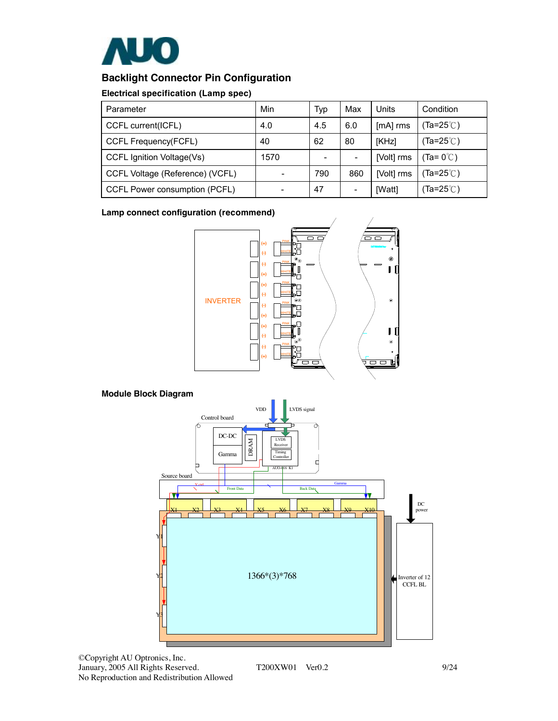

### **Backlight Connector Pin Configuration**

#### **Electrical specification (Lamp spec)**

| Parameter                       | Min  | Typ | Max | Units      | Condition                    |
|---------------------------------|------|-----|-----|------------|------------------------------|
| CCFL current(ICFL)              | 4.0  | 4.5 | 6.0 | [mA] rms   | Ta=25 $\degree$ C)           |
| CCFL Frequency(FCFL)            | 40   | 62  | 80  | [KHz]      | (Ta=25℃)                     |
| CCFL Ignition Voltage(Vs)       | 1570 |     |     | [Volt] rms | $(Ta = 0^{\circ}$            |
| CCFL Voltage (Reference) (VCFL) |      | 790 | 860 | [Volt] rms | Ta=25 $^{\circ}\mathrm{C}$ ) |
| CCFL Power consumption (PCFL)   |      | 47  |     | [Watt]     | (Ta=25℃)                     |

**Lamp connect configuration (recommend)**



### **Module Block Diagram**



©Copyright AU Optronics, Inc. January, 2005 All Rights Reserved. T200XW01 Ver0.2 9/24 No Reproduction and Redistribution Allowed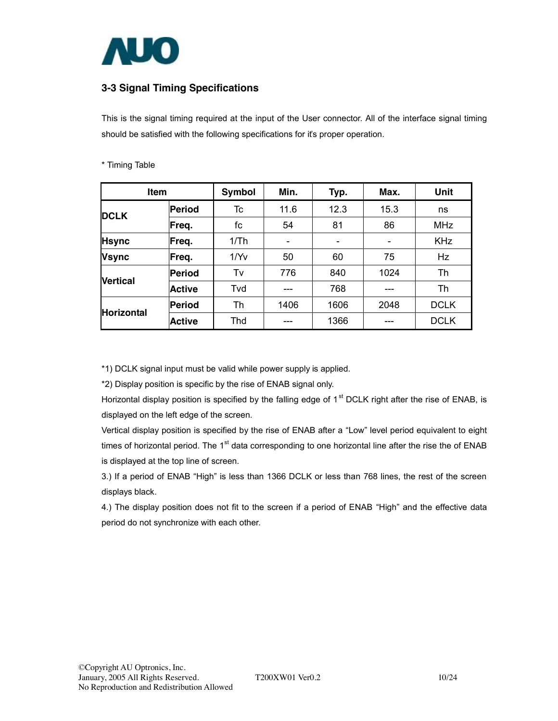

### **3-3 Signal Timing Specifications**

This is the signal timing required at the input of the User connector. All of the interface signal timing should be satisfied with the following specifications for it's proper operation.

| Item                  |               | <b>Symbol</b> | Min. | Typ. | Max. | <b>Unit</b> |
|-----------------------|---------------|---------------|------|------|------|-------------|
| <b>DCLK</b>           | Period        | Tc            | 11.6 | 12.3 | 15.3 | ns          |
|                       | Freq.         | fc            | 54   | 81   | 86   | <b>MHz</b>  |
| <b>Hsync</b>          | Freq.         | 1/Th          |      |      |      | <b>KHz</b>  |
| <b>Vsync</b><br>Freq. |               | 1/YV          | 50   | 60   | 75   | Hz          |
| <b>Nertical</b>       | Period        | Tv            | 776  | 840  | 1024 | Th          |
|                       | <b>Active</b> | Tvd           |      | 768  | ---  | Th          |
|                       | Period        | Th            | 1406 | 1606 | 2048 | <b>DCLK</b> |
| <b>Horizontal</b>     | <b>Active</b> | Thd           |      | 1366 |      | <b>DCLK</b> |

#### \* Timing Table

\*1) DCLK signal input must be valid while power supply is applied.

\*2) Display position is specific by the rise of ENAB signal only.

Horizontal display position is specified by the falling edge of 1<sup>st</sup> DCLK right after the rise of ENAB, is displayed on the left edge of the screen.

Vertical display position is specified by the rise of ENAB after a "Low" level period equivalent to eight times of horizontal period. The 1<sup>st</sup> data corresponding to one horizontal line after the rise the of ENAB is displayed at the top line of screen.

3.) If a period of ENAB "High" is less than 1366 DCLK or less than 768 lines, the rest of the screen displays black.

4.) The display position does not fit to the screen if a period of ENAB "High" and the effective data period do not synchronize with each other.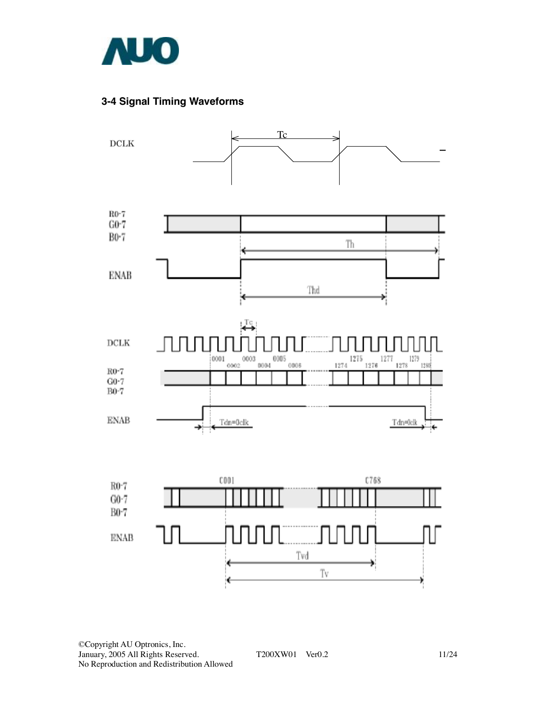

### **3-4 Signal Timing Waveforms**



©Copyright AU Optronics, Inc. January, 2005 All Rights Reserved. T200XW01 Ver0.2 11/24 No Reproduction and Redistribution Allowed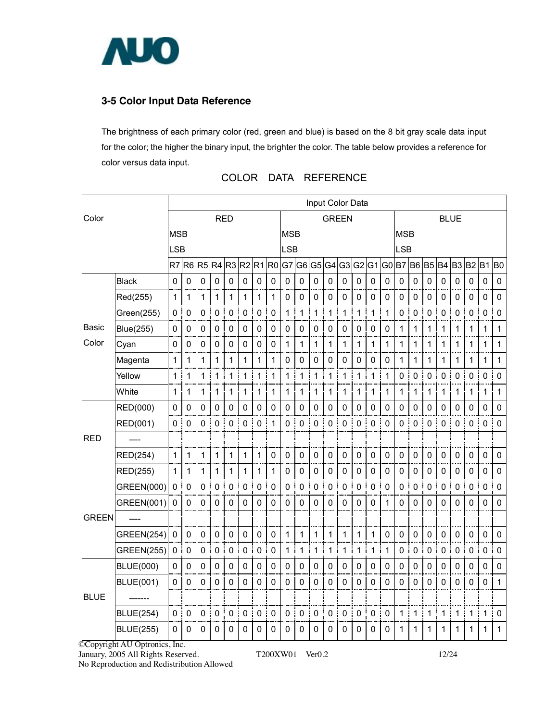

### **3-5 Color Input Data Reference**

The brightness of each primary color (red, green and blue) is based on the 8 bit gray scale data input for the color; the higher the binary input, the brighter the color. The table below provides a reference for color versus data input.

|              |                   |              |             |             |              |              |              |                   |                |              |                |             |             | Input Color Data |             |              |             |                   |                  |              |             |                |              |                  |                |
|--------------|-------------------|--------------|-------------|-------------|--------------|--------------|--------------|-------------------|----------------|--------------|----------------|-------------|-------------|------------------|-------------|--------------|-------------|-------------------|------------------|--------------|-------------|----------------|--------------|------------------|----------------|
| Color        |                   |              |             |             |              | <b>RED</b>   |              |                   |                |              |                |             |             | <b>GREEN</b>     |             |              |             |                   |                  |              | <b>BLUE</b> |                |              |                  |                |
|              |                   | <b>MSB</b>   |             |             |              |              |              |                   |                | <b>MSB</b>   |                |             |             |                  |             |              |             | <b>MSB</b>        |                  |              |             |                |              |                  |                |
|              |                   | <b>LSB</b>   |             |             |              |              |              |                   |                | <b>LSB</b>   |                |             |             |                  |             |              |             | <b>LSB</b>        |                  |              |             |                |              |                  |                |
|              |                   | R7           | R6 R5       |             |              | R4 R3 R2 R1  |              |                   | R <sub>0</sub> | G7           | G6 G5          |             |             | $G4$ $G3$        | G2 G1       |              | G0          | B7                | <b>B6 B5</b>     |              | <b>B4</b>   | B <sub>3</sub> | B2 B1        |                  | B <sub>0</sub> |
|              | <b>Black</b>      | 0            | $\mathbf 0$ | $\mathbf 0$ | $\mathbf 0$  | $\pmb{0}$    | $\mathbf 0$  | $\mathbf 0$       | 0              | 0            | $\mathbf 0$    | $\mathbf 0$ | $\mathbf 0$ | $\mathbf 0$      | $\mathbf 0$ | $\mathbf 0$  | 0           | $\mathbf 0$       | $\mathbf 0$      | $\mathbf 0$  | $\pmb{0}$   | $\mathbf 0$    | $\mathbf 0$  | $\mathbf 0$      | $\mathbf 0$    |
|              | Red(255)          | 1            | 1           | 1           | 1            | 1            | 1            | 1                 | 1              | 0            | 0              | 0           | 0           | 0                | $\mathbf 0$ | 0            | 0           | 0                 | 0                | 0            | 0           | 0              | 0            | 0                | $\mathbf 0$    |
|              | Green(255)        | 0            | 0           | $\mathbf 0$ | 0            | $\pmb{0}$    | $\mathbf 0$  | 0                 | 0              | 1            | $\mathbf 1$    | 1           | 1           | 1                | $\mathbf 1$ | $\mathbf{1}$ | 1           | $\mathsf 0$       | 0                | $\mathbf 0$  | $\mathbf 0$ | 0              | 0            | 0                | $\pmb{0}$      |
| Basic        | <b>Blue(255)</b>  | 0            | 0           | $\mathbf 0$ | 0            | $\mathbf 0$  | 0            | 0                 | 0              | 0            | 0              | 0           | 0           | 0                | 0           | 0            | 0           | 1                 | 1                | 1            | 1           | 1              | 1            | 1                | $\mathbf{1}$   |
| Color        | Cyan              | 0            | $\mathbf 0$ | $\mathbf 0$ | $\mathbf 0$  | $\pmb{0}$    | $\mathbf 0$  | 0                 | 0              | 1            | $\mathbf 1$    | 1           | 1           | 1                | 1           | $\mathbf{1}$ | 1           | 1                 | 1                | 1            | 1           | 1              | 1            | 1                | $\mathbf{1}$   |
|              | Magenta           | 1            | $\mathbf 1$ | 1           | $\mathbf{1}$ | 1            | $\mathbf{1}$ | 1                 | 1              | 0            | 0              | $\mathbf 0$ | $\mathbf 0$ | 0                | $\mathbf 0$ | 0            | 0           | $\mathbf{1}$      | 1                | $\mathbf{1}$ | 1           | 1              | $\mathbf{1}$ | 1                | $\mathbf{1}$   |
|              | Yellow            | 1            | 1           | 1           | 1            | $1$ :        | $\mathbf{1}$ | $\mathbf{1}$<br>÷ | 1              | 1.           | 1<br>÷         | 1           | 1           | 1                | 1           | $\mathbf{1}$ | 1           | 0                 | $\mathbf 0$<br>ŧ | $\mathbf 0$  | 0           | 0              | 0            | $\mathbf 0$<br>÷ | 0              |
|              | White             | 1            | $\mathbf 1$ | 1           | 1            | 1            | 1            | 1                 | 1              | 1            | 1              | 1           | 1           | 1                | 1           | 1            | 1           | 1                 | $\mathbf{1}$     | 1            | 1           | 1              | 1            | 1                | 1              |
|              | RED(000)          | 0            | $\mathbf 0$ | 0           | $\mathbf 0$  | 0            | $\mathbf 0$  | 0                 | 0              | 0            | 0              | 0           | 0           | 0                | 0           | 0            | $\Omega$    | 0                 | 0                | 0            | $\mathbf 0$ | 0              | $\mathbf 0$  | $\Omega$         | $\mathbf 0$    |
|              | RED(001)          | 0            | 0           | 0           | $\mathbf 0$  | 0<br>÷       | $\mathbf 0$  | $\pmb{0}$         | 1              | 0            | 0              | 0           | 0           | $\pmb{0}$        | 0           | 0            | 0           | 0                 | 0<br>ŧ           | $\mathbf 0$  | 0           | $\mathbf 0$    | 0            | 0<br>ŧ           | $\mathbf 0$    |
| <b>RED</b>   |                   |              |             |             |              |              |              |                   |                |              |                |             |             |                  |             |              |             |                   |                  |              |             |                |              |                  |                |
|              | RED(254)          | $\mathbf{1}$ | 1           | 1           | $\mathbf 1$  | $\mathbf{1}$ | $\mathbf{1}$ | $\mathbf 1$       | 0              | 0            | 0              | $\mathbf 0$ | 0           | 0                | $\mathbf 0$ | $\mathbf 0$  | 0           | 0                 | 0                | 0            | 0           | $\pmb{0}$      | $\pmb{0}$    | $\mathbf 0$      | $\pmb{0}$      |
|              | RED(255)          | 1            | $\mathbf 1$ | 1           | $\mathbf 1$  | $\mathbf{1}$ | 1            | 1                 | 1              | 0            | 0              | 0           | $\pmb{0}$   | 0                | $\pmb{0}$   | $\mathsf 0$  | 0           | $\mathsf 0$       | 0                | $\mathsf 0$  | $\pmb{0}$   | 0              | $\pmb{0}$    | 0                | $\pmb{0}$      |
|              | GREEN(000)        | $\mathbf 0$  | 0           | $\mathbf 0$ | $\mathbf 0$  | 0            | 0            | 0                 | 0              | 0            | 0              | 0           | $\mathbf 0$ | 0                | $\mathbf 0$ | 0            | 0           | 0                 | $\mathbf 0$      | 0            | $\mathbf 0$ | 0              | 0            | 0                | $\mathbf 0$    |
|              | GREEN(001)        | 0            | 0           | $\Omega$    | $\Omega$     | $\mathbf 0$  | 0            | 0                 | $\Omega$       | 0            | 0              | 0           | $\Omega$    | 0                | $\mathbf 0$ | $\Omega$     | 1           | $\mathbf 0$       | $\Omega$         | 0            | $\Omega$    | 0              | $\mathbf 0$  | $\mathbf 0$      | $\mathsf 0$    |
| <b>GREEN</b> |                   |              |             |             |              |              |              |                   |                |              |                |             |             |                  |             |              |             |                   |                  |              |             |                |              |                  |                |
|              | <b>GREEN(254)</b> | 0            | 0           | $\mathsf 0$ | 0            | $\mathbf 0$  | 0            | 0                 | 0              | $\mathbf{1}$ | 1              | 1           | 1           | 1                | 1           | 1            | 0           | $\mathbf 0$       | 0                | 0            | $\mathbf 0$ | 0              | 0            | 0                | 0              |
|              | <b>GREEN(255)</b> | $\pmb{0}$    | $\pmb{0}$   | $\mathsf 0$ | $\mathbf 0$  | $\pmb{0}$    | $\pmb{0}$    | 0                 | 0              | 1            | 1              | 1           | 1           | 1                | $\mathbf 1$ | 1            | 1           | 0                 | 0                | 0            | $\pmb{0}$   | $\pmb{0}$      | $\pmb{0}$    | $\mathsf 0$      | $\mathsf 0$    |
|              | <b>BLUE(000)</b>  | 0            | $\mathbf 0$ | 0           | $\mathbf 0$  | 0            | $\mathbf 0$  | $\mathbf 0$       | 0              | $\mathbf 0$  | 0              | $\mathbf 0$ | 0           | 0                | 0           | 0            | 0           | $\mathbf 0$       | $\mathbf 0$      | $\mathsf 0$  | $\mathbf 0$ | 0              | $\mathbf 0$  | 0                | $\mathbf 0$    |
|              | <b>BLUE(001)</b>  | 0            | 0           | 0           | $\mathbf 0$  | 0            | $\mathbf 0$  | 0                 | 0              | 0            | 0              | 0           | 0           | 0                | $\mathbf 0$ | 0            | 0           | 0                 | 0                | 0            | 0           | 0              | 0            | 0                | 1              |
| <b>BLUE</b>  | --------          |              |             |             |              |              |              |                   |                |              |                |             |             |                  |             |              |             |                   |                  |              |             |                |              |                  |                |
|              | <b>BLUE(254)</b>  | 0            | $\mathbf 0$ | $\mathbf 0$ | $\mathbf 0$  | 0<br>÷       | $\mathbf 0$  | $\pmb{0}$         | 0              | $\pmb{0}$    | $\pmb{0}$<br>ł | $\mathbf 0$ | $\pmb{0}$   | $\pmb{0}$        | $\mathbf 0$ | $\mathsf 0$  | $\mathbf 0$ | $\mathbf{1}$<br>÷ | 1<br>ŧ           | 1            | 1           | 1              | 1            | 1<br>ł           | $\pmb{0}$      |
|              | <b>BLUE(255)</b>  | 0            | 0           | 0           | $\mathbf 0$  | 0            | 0            | 0                 | 0              | 0            | 0              | 0           | 0           | 0                | 0           | 0            | 0           | 1                 | 1                | 1            | 1           | 1              | 1            | 1                | 1              |

### COLOR DATA REFERENCE

©Copyright AU Optronics, Inc.

January, 2005 All Rights Reserved. T200XW01 Ver0.2 12/24

No Reproduction and Redistribution Allowed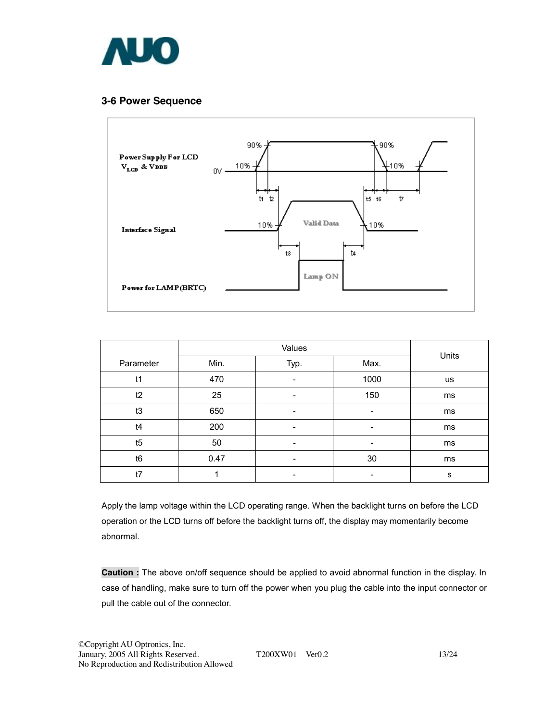

#### **3-6 Power Sequence**



| Parameter      | Min. | Typ.                     | Max.                     | Units     |
|----------------|------|--------------------------|--------------------------|-----------|
| t1             | 470  | -                        | 1000                     | <b>us</b> |
| t2             | 25   | -                        | 150                      | ms        |
| t3             | 650  | $\overline{\phantom{a}}$ | -                        | ms        |
| t4             | 200  | -                        | -                        | ms        |
| t5             | 50   | -                        | ٠                        | ms        |
| t <sub>6</sub> | 0.47 | $\overline{\phantom{a}}$ | 30                       | ms        |
| t7             |      | -                        | $\overline{\phantom{a}}$ | s         |

Apply the lamp voltage within the LCD operating range. When the backlight turns on before the LCD operation or the LCD turns off before the backlight turns off, the display may momentarily become abnormal.

**Caution :** The above on/off sequence should be applied to avoid abnormal function in the display. In case of handling, make sure to turn off the power when you plug the cable into the input connector or pull the cable out of the connector.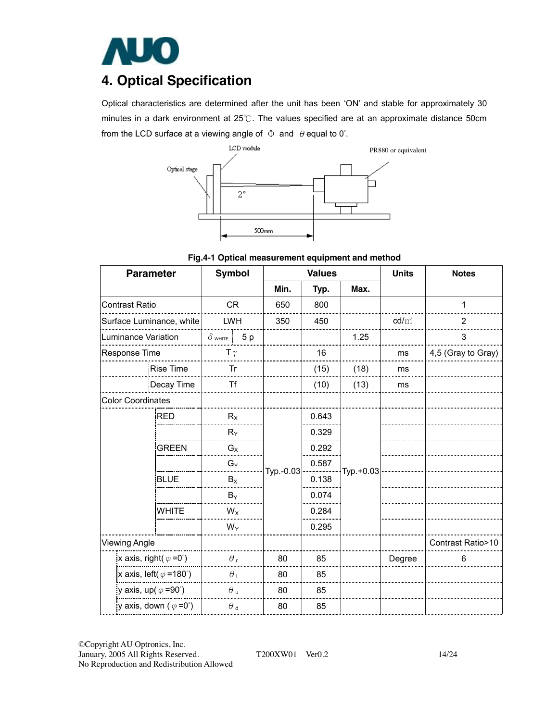

# **4. Optical Specification**

Optical characteristics are determined after the unit has been 'ON' and stable for approximately 30 minutes in a dark environment at 25℃. The values specified are at an approximate distance 50cm from the LCD surface at a viewing angle of  $\Phi$  and  $\theta$  equal to 0°.



**Fig.4-1 Optical measurement equipment and method** 

| <b>Parameter</b>                       | <b>Symbol</b>        |           | <b>Values</b> |           | <b>Units</b>    | <b>Notes</b>       |  |
|----------------------------------------|----------------------|-----------|---------------|-----------|-----------------|--------------------|--|
|                                        |                      | Min.      | Typ.          | Max.      |                 |                    |  |
| <b>Contrast Ratio</b>                  | CR                   | 650       | 800           |           |                 | 1                  |  |
| Surface Luminance, white               | <b>LWH</b>           | 350       | 450           |           | $\text{cd/m}^2$ | $\overline{2}$     |  |
| Luminance Variation                    | 5p<br>$\delta$ white |           |               | 1.25      |                 | 3                  |  |
| Response Time                          | T $\gamma$           |           | 16            |           | ms              | 4,5 (Gray to Gray) |  |
| <b>Rise Time</b>                       | Tr                   |           | (15)          | (18)      | ms              |                    |  |
| Decay Time                             | Τf                   |           | (10)          | (13)      | ms              |                    |  |
| <b>Color Coordinates</b>               |                      |           |               |           |                 |                    |  |
| <b>RED</b>                             | $R_X$                |           | 0.643         |           |                 |                    |  |
|                                        | $R_Y$                |           | 0.329         |           |                 |                    |  |
| <b>GREEN</b>                           | $G_X$                |           | 0.292         |           |                 |                    |  |
|                                        | $G_Y$                | Typ.-0.03 | 0.587         | Typ.+0.03 |                 |                    |  |
| <b>BLUE</b>                            | $B_X$                |           | 0.138         |           |                 |                    |  |
|                                        | $B_Y$                |           | 0.074         |           |                 |                    |  |
| <b>WHITE</b>                           | $W_X$                |           | 0.284         |           |                 |                    |  |
|                                        | $W_Y$                |           | 0.295         |           |                 |                    |  |
| <b>Viewing Angle</b>                   |                      |           |               |           |                 | Contrast Ratio>10  |  |
| x axis, right( $\varphi = 0^{\circ}$ ) | $\theta_{\rm r}$     | 80        | 85            |           | Degree          | 6                  |  |
| x axis, left( $\varphi$ =180°)         | $\theta_1$           | 80        | 85            |           |                 |                    |  |
| y axis, up( $\varphi$ =90°)            | $\theta$ u           | 80        | 85            |           |                 |                    |  |
| y axis, down ( $\varphi = 0^{\circ}$ ) | $\theta$ d           | 80        | 85            |           |                 |                    |  |

©Copyright AU Optronics, Inc. January, 2005 All Rights Reserved. T200XW01 Ver0.2 14/24 No Reproduction and Redistribution Allowed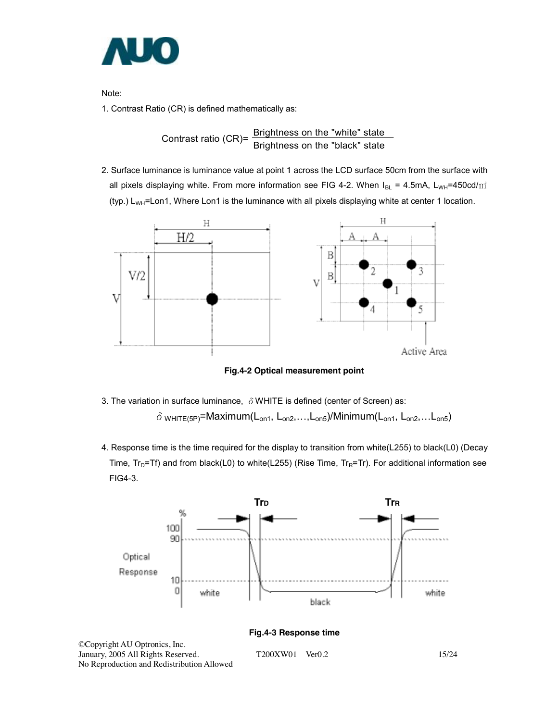

Note:

1. Contrast Ratio (CR) is defined mathematically as:

Contrast ratio (CR)=  $\frac{\text{Brighness on the "white" state}}{\text{Brightness on the "black" state}}$ 

2. Surface luminance is luminance value at point 1 across the LCD surface 50cm from the surface with all pixels displaying white. From more information see FIG 4-2. When  $I_{BL} = 4.5$ mA, L<sub>WH</sub>=450cd/m<sup>2</sup> (typ.)  $L_{WH}$ =Lon1, Where Lon1 is the luminance with all pixels displaying white at center 1 location.



**Fig.4-2 Optical measurement point** 

- 3. The variation in surface luminance,  $\delta$  WHITE is defined (center of Screen) as:  $\delta$  white (5P)=Maximum(L<sub>on1</sub>, L<sub>on2</sub>,...,L<sub>on5</sub>)/Minimum(L<sub>on1</sub>, L<sub>on2</sub>,...L<sub>on5</sub>)
- 4. Response time is the time required for the display to transition from white(L255) to black(L0) (Decay Time,  $Tr_D=Tr$ ) and from black(L0) to white(L255) (Rise Time,  $Tr_R=Tr$ ). For additional information see FIG4-3.



No Reproduction and Redistribution Allowed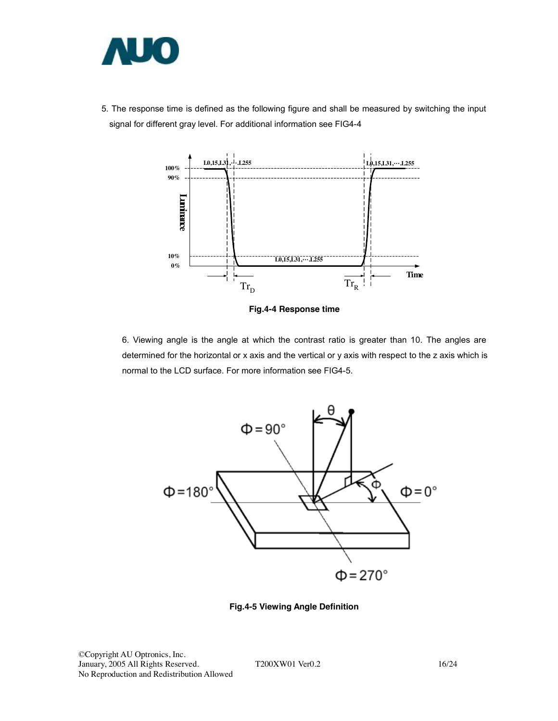

5. The response time is defined as the following figure and shall be measured by switching the input signal for different gray level. For additional information see FIG4-4



**Fig.4-4 Response time** 

6. Viewing angle is the angle at which the contrast ratio is greater than 10. The angles are determined for the horizontal or x axis and the vertical or y axis with respect to the z axis which is normal to the LCD surface. For more information see FIG4-5.



**Fig.4-5 Viewing Angle Definition**

©Copyright AU Optronics, Inc. January, 2005 All Rights Reserved. T200XW01 Ver0.2 16/24 No Reproduction and Redistribution Allowed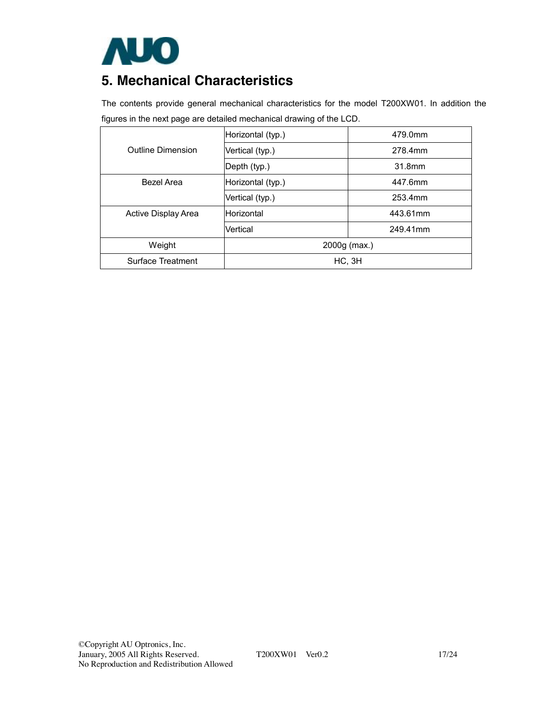

## **5. Mechanical Characteristics**

The contents provide general mechanical characteristics for the model T200XW01. In addition the figures in the next page are detailed mechanical drawing of the LCD.

|                          | Horizontal (typ.)    | 479.0mm  |  |  |  |  |
|--------------------------|----------------------|----------|--|--|--|--|
| <b>Outline Dimension</b> | Vertical (typ.)      | 278.4mm  |  |  |  |  |
|                          | Depth (typ.)         | 31.8mm   |  |  |  |  |
| <b>Bezel Area</b>        | Horizontal (typ.)    | 447.6mm  |  |  |  |  |
|                          | Vertical (typ.)      | 253.4mm  |  |  |  |  |
| Active Display Area      | Horizontal           | 443.61mm |  |  |  |  |
|                          | Vertical<br>249.41mm |          |  |  |  |  |
| Weight                   | 2000g (max.)         |          |  |  |  |  |
| Surface Treatment        | HC, 3H               |          |  |  |  |  |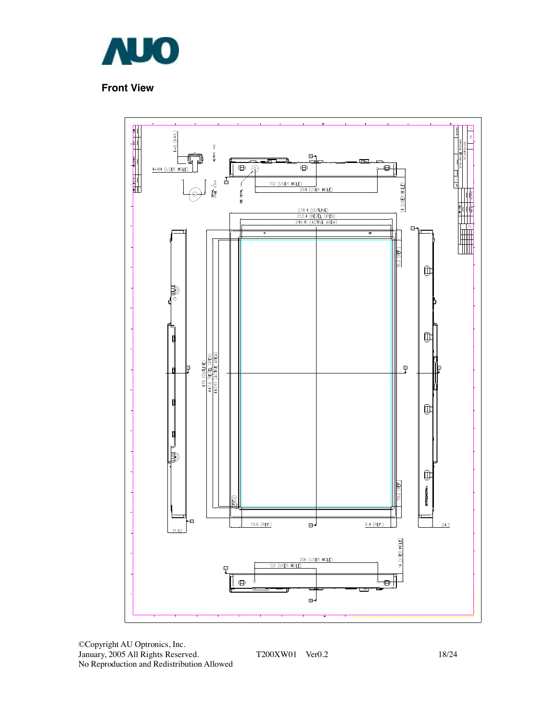

### **Front View**



©Copyright AU Optronics, Inc. January, 2005 All Rights Reserved. T200XW01 Ver0.2 18/24 No Reproduction and Redistribution Allowed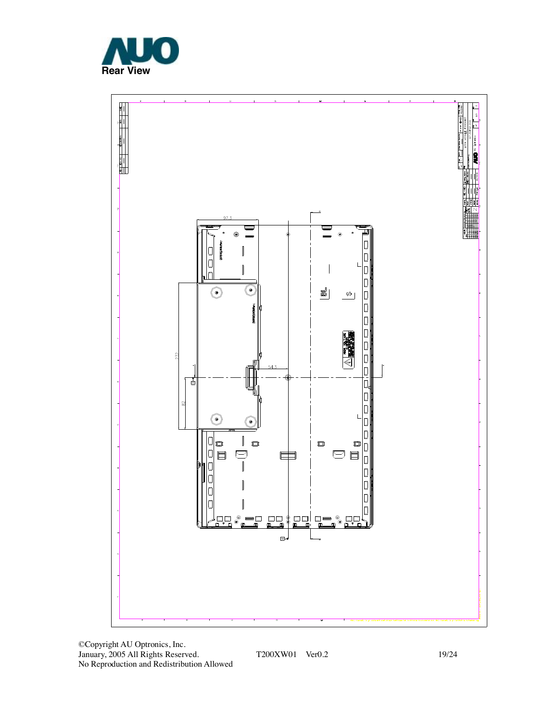



©Copyright AU Optronics, Inc. January, 2005 All Rights Reserved. T200XW01 Ver0.2 19/24 No Reproduction and Redistribution Allowed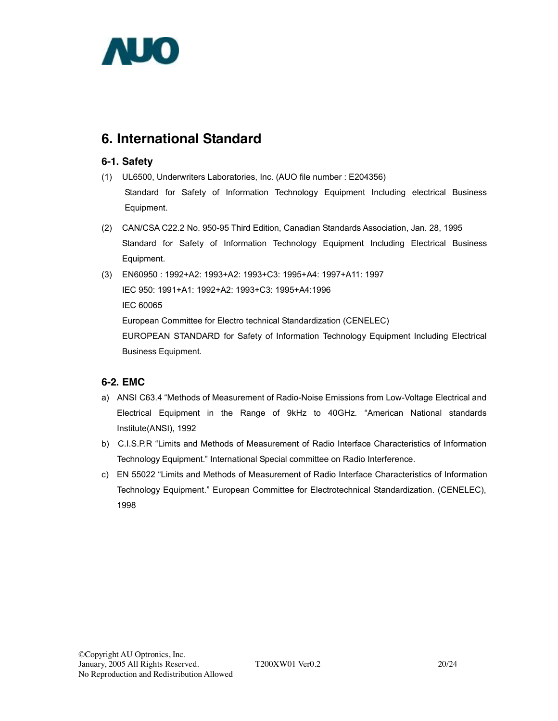

## **6. International Standard**

#### **6-1. Safety**

- (1) UL6500, Underwriters Laboratories, Inc. (AUO file number : E204356) Standard for Safety of Information Technology Equipment Including electrical Business Equipment.
- (2) CAN/CSA C22.2 No. 950-95 Third Edition, Canadian Standards Association, Jan. 28, 1995 Standard for Safety of Information Technology Equipment Including Electrical Business Equipment.
- (3) EN60950 : 1992+A2: 1993+A2: 1993+C3: 1995+A4: 1997+A11: 1997 IEC 950: 1991+A1: 1992+A2: 1993+C3: 1995+A4:1996 IEC 60065 European Committee for Electro technical Standardization (CENELEC)

EUROPEAN STANDARD for Safety of Information Technology Equipment Including Electrical Business Equipment.

### **6-2. EMC**

- a) ANSI C63.4 "Methods of Measurement of Radio-Noise Emissions from Low-Voltage Electrical and Electrical Equipment in the Range of 9kHz to 40GHz. "American National standards Institute(ANSI), 1992
- b) C.I.S.P.R "Limits and Methods of Measurement of Radio Interface Characteristics of Information Technology Equipment." International Special committee on Radio Interference.
- c) EN 55022 "Limits and Methods of Measurement of Radio Interface Characteristics of Information Technology Equipment." European Committee for Electrotechnical Standardization. (CENELEC), 1998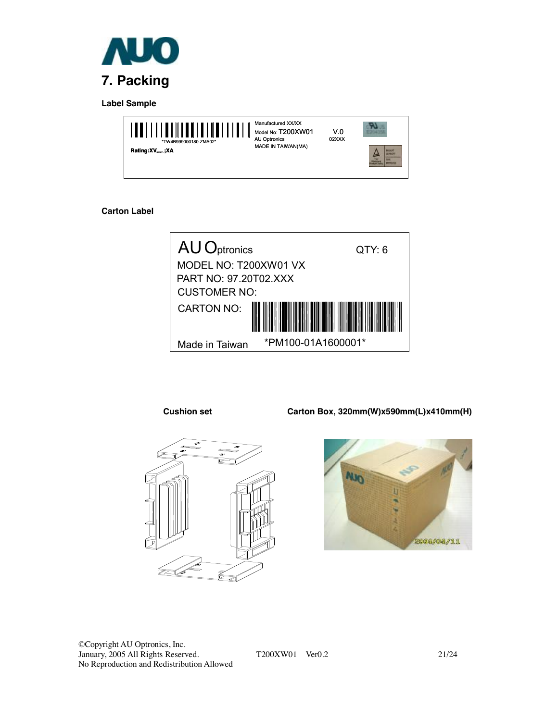

**Label Sample** 



#### **Carton Label**



**Cushion set Carton Box, 320mm(W)x590mm(L)x410mm(H)** 





©Copyright AU Optronics, Inc. January, 2005 All Rights Reserved. T200XW01 Ver0.2 21/24 No Reproduction and Redistribution Allowed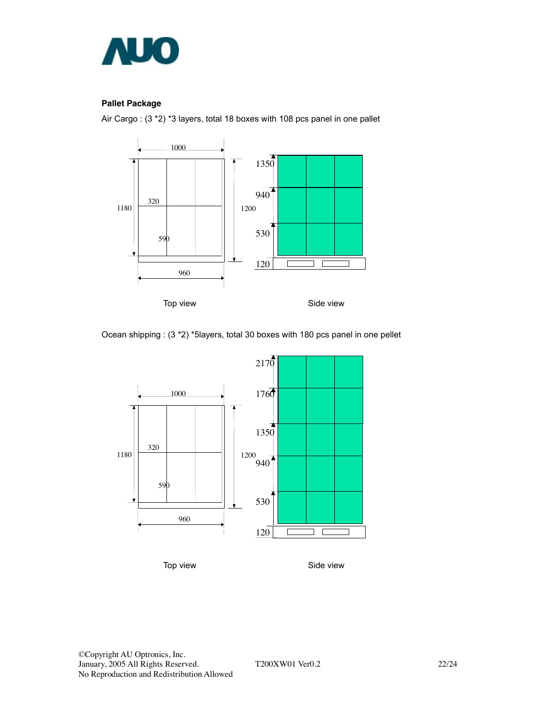

#### **Pallet Package**

Air Cargo : (3 \*2) \*3 layers, total 18 boxes with 108 pcs panel in one pallet



Ocean shipping : (3 \*2) \*5layers, total 30 boxes with 180 pcs panel in one pellet



Top view **Side view**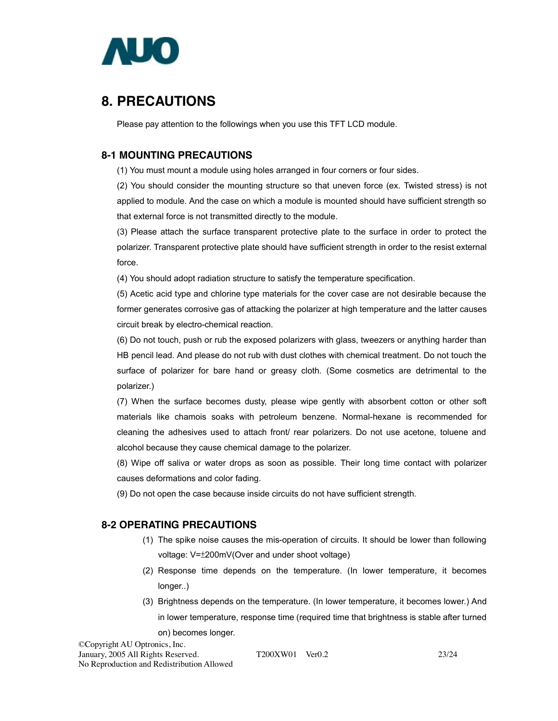

## **8. PRECAUTIONS**

Please pay attention to the followings when you use this TFT LCD module.

#### **8-1 MOUNTING PRECAUTIONS**

(1) You must mount a module using holes arranged in four corners or four sides.

(2) You should consider the mounting structure so that uneven force (ex. Twisted stress) is not applied to module. And the case on which a module is mounted should have sufficient strength so that external force is not transmitted directly to the module.

(3) Please attach the surface transparent protective plate to the surface in order to protect the polarizer. Transparent protective plate should have sufficient strength in order to the resist external force.

(4) You should adopt radiation structure to satisfy the temperature specification.

(5) Acetic acid type and chlorine type materials for the cover case are not desirable because the former generates corrosive gas of attacking the polarizer at high temperature and the latter causes circuit break by electro-chemical reaction.

(6) Do not touch, push or rub the exposed polarizers with glass, tweezers or anything harder than HB pencil lead. And please do not rub with dust clothes with chemical treatment. Do not touch the surface of polarizer for bare hand or greasy cloth. (Some cosmetics are detrimental to the polarizer.)

(7) When the surface becomes dusty, please wipe gently with absorbent cotton or other soft materials like chamois soaks with petroleum benzene. Normal-hexane is recommended for cleaning the adhesives used to attach front/ rear polarizers. Do not use acetone, toluene and alcohol because they cause chemical damage to the polarizer.

(8) Wipe off saliva or water drops as soon as possible. Their long time contact with polarizer causes deformations and color fading.

(9) Do not open the case because inside circuits do not have sufficient strength.

#### **8-2 OPERATING PRECAUTIONS**

- (1) The spike noise causes the mis-operation of circuits. It should be lower than following voltage: V=±200mV(Over and under shoot voltage)
- (2) Response time depends on the temperature. (In lower temperature, it becomes longer..)
- (3) Brightness depends on the temperature. (In lower temperature, it becomes lower.) And in lower temperature, response time (required time that brightness is stable after turned on) becomes longer.